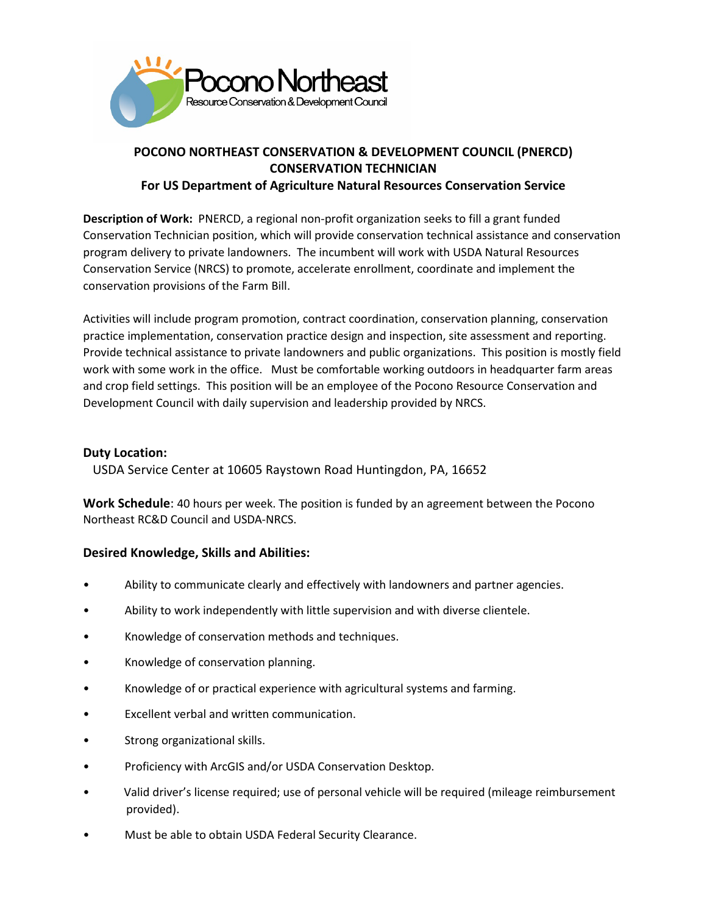

## **POCONO NORTHEAST CONSERVATION & DEVELOPMENT COUNCIL (PNERCD) CONSERVATION TECHNICIAN**

**For US Department of Agriculture Natural Resources Conservation Service**

**Description of Work:** PNERCD, a regional non-profit organization seeks to fill a grant funded Conservation Technician position, which will provide conservation technical assistance and conservation program delivery to private landowners. The incumbent will work with USDA Natural Resources Conservation Service (NRCS) to promote, accelerate enrollment, coordinate and implement the conservation provisions of the Farm Bill.

Activities will include program promotion, contract coordination, conservation planning, conservation practice implementation, conservation practice design and inspection, site assessment and reporting. Provide technical assistance to private landowners and public organizations. This position is mostly field work with some work in the office. Must be comfortable working outdoors in headquarter farm areas and crop field settings. This position will be an employee of the Pocono Resource Conservation and Development Council with daily supervision and leadership provided by NRCS.

## **Duty Location:**

USDA Service Center at 10605 Raystown Road Huntingdon, PA, 16652

**Work Schedule**: 40 hours per week. The position is funded by an agreement between the Pocono Northeast RC&D Council and USDA-NRCS.

## **Desired Knowledge, Skills and Abilities:**

- Ability to communicate clearly and effectively with landowners and partner agencies.
- Ability to work independently with little supervision and with diverse clientele.
- Knowledge of conservation methods and techniques.
- Knowledge of conservation planning.
- Knowledge of or practical experience with agricultural systems and farming.
- Excellent verbal and written communication.
- Strong organizational skills.
- Proficiency with ArcGIS and/or USDA Conservation Desktop.
- Valid driver's license required; use of personal vehicle will be required (mileage reimbursement provided).
- Must be able to obtain USDA Federal Security Clearance.